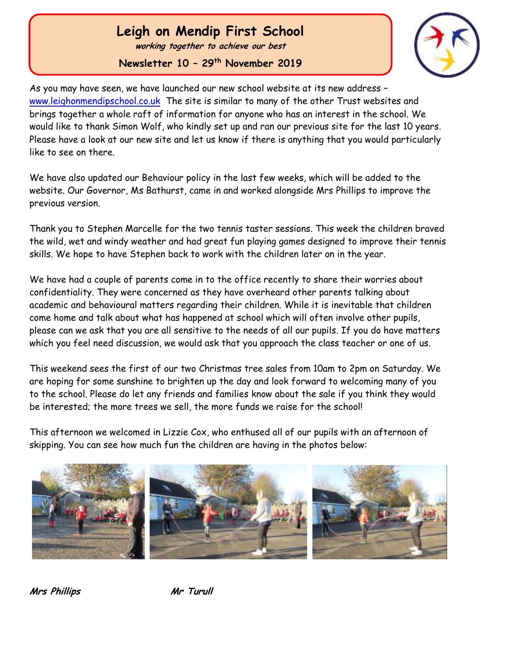## **Leigh on Mendip First School**

**working together to achieve our best**

**Newsletter 10 – 29th November 2019**



As you may have seen, we have launched our new school website at its new address [www.leighonmendipschool.co.uk](http://www.leighonmendipschool.co.uk/) The site is similar to many of the other Trust websites and brings together a whole raft of information for anyone who has an interest in the school. We would like to thank Simon Wolf, who kindly set up and ran our previous site for the last 10 years. Please have a look at our new site and let us know if there is anything that you would particularly like to see on there.

We have also updated our Behaviour policy in the last few weeks, which will be added to the website. Our Governor, Ms Bathurst, came in and worked alongside Mrs Phillips to improve the previous version.

Thank you to Stephen Marcelle for the two tennis taster sessions. This week the children braved the wild, wet and windy weather and had great fun playing games designed to improve their tennis skills. We hope to have Stephen back to work with the children later on in the year.

We have had a couple of parents come in to the office recently to share their worries about confidentiality. They were concerned as they have overheard other parents talking about academic and behavioural matters regarding their children. While it is inevitable that children come home and talk about what has happened at school which will often involve other pupils, please can we ask that you are all sensitive to the needs of all our pupils. If you do have matters which you feel need discussion, we would ask that you approach the class teacher or one of us.

This weekend sees the first of our two Christmas tree sales from 10am to 2pm on Saturday. We are hoping for some sunshine to brighten up the day and look forward to welcoming many of you to the school. Please do let any friends and families know about the sale if you think they would be interested; the more trees we sell, the more funds we raise for the school!

This afternoon we welcomed in Lizzie Cox, who enthused all of our pupils with an afternoon of skipping. You can see how much fun the children are having in the photos below:



**Mrs Phillips Mr Turull**

 Ĭ